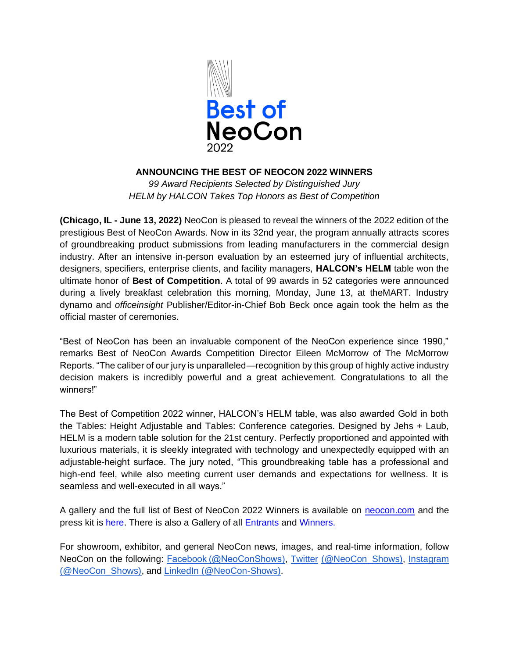

## **ANNOUNCING THE BEST OF NEOCON 2022 WINNERS**

*99 Award Recipients Selected by Distinguished Jury HELM by HALCON Takes Top Honors as Best of Competition* 

**(Chicago, IL - June 13, 2022)** NeoCon is pleased to reveal the winners of the 2022 edition of the prestigious Best of NeoCon Awards. Now in its 32nd year, the program annually attracts scores of groundbreaking product submissions from leading manufacturers in the commercial design industry. After an intensive in-person evaluation by an esteemed jury of influential architects, designers, specifiers, enterprise clients, and facility managers, **HALCON's HELM** table won the ultimate honor of **Best of Competition**. A total of 99 awards in 52 categories were announced during a lively breakfast celebration this morning, Monday, June 13, at theMART. Industry dynamo and *officeinsight* Publisher/Editor-in-Chief Bob Beck once again took the helm as the official master of ceremonies.

"Best of NeoCon has been an invaluable component of the NeoCon experience since 1990," remarks Best of NeoCon Awards Competition Director Eileen McMorrow of The McMorrow Reports. "The caliber of our jury is unparalleled—recognition by this group of highly active industry decision makers is incredibly powerful and a great achievement. Congratulations to all the winners!"

The Best of Competition 2022 winner, HALCON's HELM table, was also awarded Gold in both the Tables: Height Adjustable and Tables: Conference categories. Designed by Jehs + Laub, HELM is a modern table solution for the 21st century. Perfectly proportioned and appointed with luxurious materials, it is sleekly integrated with technology and unexpectedly equipped with an adjustable-height surface. The jury noted, "This groundbreaking table has a professional and high-end feel, while also meeting current user demands and expectations for wellness. It is seamless and well-executed in all ways."

A gallery and the full list of Best of NeoCon 2022 Winners is available on [neocon.com](/Users/alexandrazwicky/Downloads/neocon.com) and the press kit is [here.](https://www.dropbox.com/sh/rdytoalh4ixcodo/AAB_-TUHIkW3jLW4TArhJMMDa?dl=0) There is also a Gallery of all [Entrants](https://bestofneoconawards.secure-platform.com/a/gallery?roundId=10) and [Winners.](https://bestofneoconawards.secure-platform.com/a/gallery?roundId=11)

For showroom, exhibitor, and general NeoCon news, images, and real-time information, follow NeoCon on the following: [Facebook \(@NeoConShows\),](https://www.facebook.com/neoconshows/?ref=br_rs) [Twitter](https://twitter.com/neocon_shows?lang=en) [\(@NeoCon\\_Shows\),](https://twitter.com/neocon_shows?lang=en) [Instagram](https://www.instagram.com/neocon_shows/?hl=en)  [\(@NeoCon\\_Shows\),](https://www.instagram.com/neocon_shows/?hl=en) and [LinkedIn \(@NeoCon-Shows\).](https://www.linkedin.com/company/neocon-shows/)